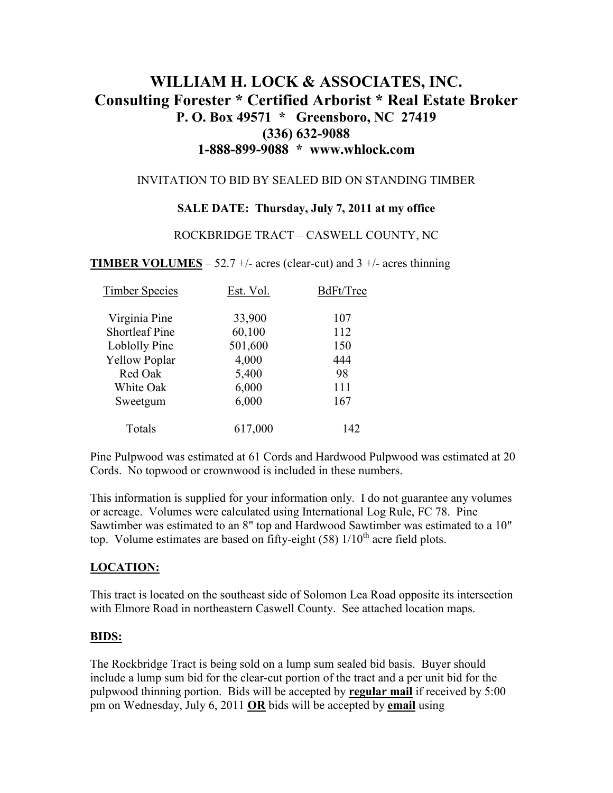# **WILLIAM H. LOCK & ASSOCIATES, INC. Consulting Forester \* Certified Arborist \* Real Estate Broker P. O. Box 49571 \* Greensboro, NC 27419 (336) 632-9088 1-888-899-9088 \* www.whlock.com**

#### INVITATION TO BID BY SEALED BID ON STANDING TIMBER

## **SALE DATE: Thursday, July 7, 2011 at my office**

#### ROCKBRIDGE TRACT – CASWELL COUNTY, NC

#### **TIMBER VOLUMES** – 52.7 +/- acres (clear-cut) and  $3 +$ /- acres thinning

| <b>Timber Species</b> | Est. Vol. | BdFt/Tree |
|-----------------------|-----------|-----------|
| Virginia Pine         | 33,900    | 107       |
| <b>Shortleaf Pine</b> | 60,100    | 112       |
| Loblolly Pine         | 501,600   | 150       |
| <b>Yellow Poplar</b>  | 4,000     | 444       |
| Red Oak               | 5,400     | 98        |
| White Oak             | 6,000     | 111       |
| Sweetgum              | 6,000     | 167       |
| Totals                | 617,000   | 142       |

Pine Pulpwood was estimated at 61 Cords and Hardwood Pulpwood was estimated at 20 Cords. No topwood or crownwood is included in these numbers.

This information is supplied for your information only. I do not guarantee any volumes or acreage. Volumes were calculated using International Log Rule, FC 78. Pine Sawtimber was estimated to an 8" top and Hardwood Sawtimber was estimated to a 10" top. Volume estimates are based on fifty-eight (58)  $1/10^{th}$  acre field plots.

## **LOCATION:**

This tract is located on the southeast side of Solomon Lea Road opposite its intersection with Elmore Road in northeastern Caswell County. See attached location maps.

#### **BIDS:**

The Rockbridge Tract is being sold on a lump sum sealed bid basis. Buyer should include a lump sum bid for the clear-cut portion of the tract and a per unit bid for the pulpwood thinning portion. Bids will be accepted by **regular mail** if received by 5:00 pm on Wednesday, July 6, 2011 **OR** bids will be accepted by **email** using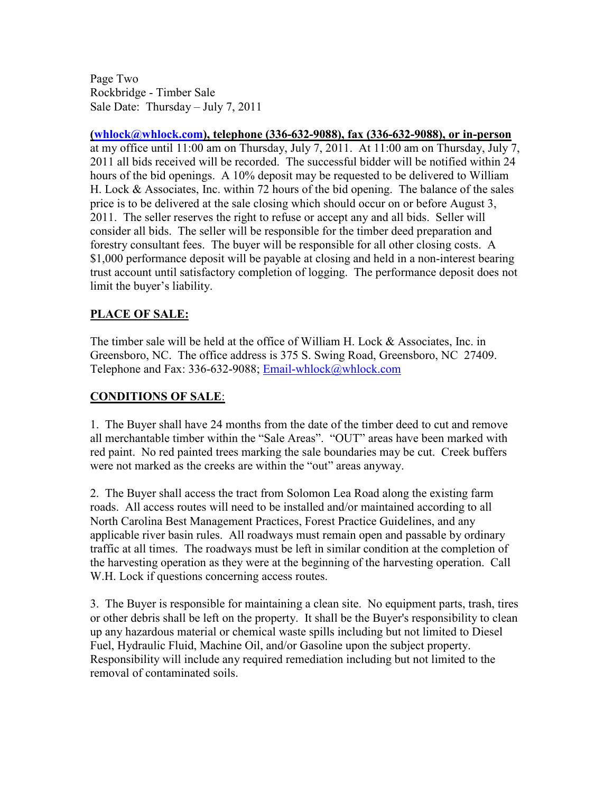Page Two Rockbridge - Timber Sale Sale Date: Thursday – July 7, 2011

**(whlock@whlock.com), telephone (336-632-9088), fax (336-632-9088), or in-person** at my office until 11:00 am on Thursday, July 7, 2011. At 11:00 am on Thursday, July 7, 2011 all bids received will be recorded. The successful bidder will be notified within 24 hours of the bid openings. A 10% deposit may be requested to be delivered to William H. Lock & Associates, Inc. within 72 hours of the bid opening. The balance of the sales price is to be delivered at the sale closing which should occur on or before August 3, 2011. The seller reserves the right to refuse or accept any and all bids. Seller will consider all bids. The seller will be responsible for the timber deed preparation and forestry consultant fees. The buyer will be responsible for all other closing costs. A \$1,000 performance deposit will be payable at closing and held in a non-interest bearing trust account until satisfactory completion of logging. The performance deposit does not limit the buyer's liability.

# **PLACE OF SALE:**

The timber sale will be held at the office of William H. Lock & Associates, Inc. in Greensboro, NC. The office address is 375 S. Swing Road, Greensboro, NC 27409. Telephone and Fax: 336-632-9088; Email-whlock@whlock.com

## **CONDITIONS OF SALE**:

1. The Buyer shall have 24 months from the date of the timber deed to cut and remove all merchantable timber within the "Sale Areas". "OUT" areas have been marked with red paint. No red painted trees marking the sale boundaries may be cut. Creek buffers were not marked as the creeks are within the "out" areas anyway.

2. The Buyer shall access the tract from Solomon Lea Road along the existing farm roads. All access routes will need to be installed and/or maintained according to all North Carolina Best Management Practices, Forest Practice Guidelines, and any applicable river basin rules. All roadways must remain open and passable by ordinary traffic at all times. The roadways must be left in similar condition at the completion of the harvesting operation as they were at the beginning of the harvesting operation. Call W.H. Lock if questions concerning access routes.

3. The Buyer is responsible for maintaining a clean site. No equipment parts, trash, tires or other debris shall be left on the property. It shall be the Buyer's responsibility to clean up any hazardous material or chemical waste spills including but not limited to Diesel Fuel, Hydraulic Fluid, Machine Oil, and/or Gasoline upon the subject property. Responsibility will include any required remediation including but not limited to the removal of contaminated soils.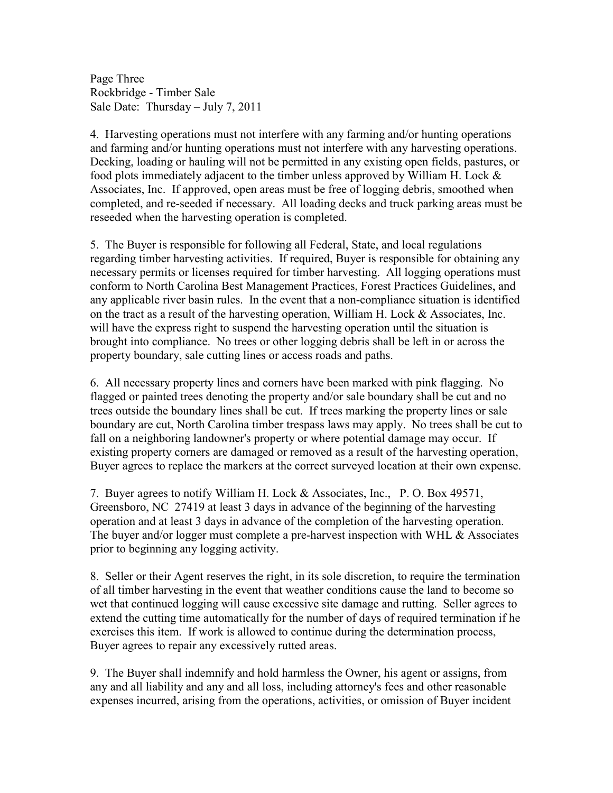Page Three Rockbridge - Timber Sale Sale Date: Thursday – July 7, 2011

4. Harvesting operations must not interfere with any farming and/or hunting operations and farming and/or hunting operations must not interfere with any harvesting operations. Decking, loading or hauling will not be permitted in any existing open fields, pastures, or food plots immediately adjacent to the timber unless approved by William H. Lock & Associates, Inc. If approved, open areas must be free of logging debris, smoothed when completed, and re-seeded if necessary. All loading decks and truck parking areas must be reseeded when the harvesting operation is completed.

5. The Buyer is responsible for following all Federal, State, and local regulations regarding timber harvesting activities. If required, Buyer is responsible for obtaining any necessary permits or licenses required for timber harvesting. All logging operations must conform to North Carolina Best Management Practices, Forest Practices Guidelines, and any applicable river basin rules. In the event that a non-compliance situation is identified on the tract as a result of the harvesting operation, William H. Lock  $&$  Associates, Inc. will have the express right to suspend the harvesting operation until the situation is brought into compliance. No trees or other logging debris shall be left in or across the property boundary, sale cutting lines or access roads and paths.

6. All necessary property lines and corners have been marked with pink flagging. No flagged or painted trees denoting the property and/or sale boundary shall be cut and no trees outside the boundary lines shall be cut. If trees marking the property lines or sale boundary are cut, North Carolina timber trespass laws may apply. No trees shall be cut to fall on a neighboring landowner's property or where potential damage may occur. If existing property corners are damaged or removed as a result of the harvesting operation, Buyer agrees to replace the markers at the correct surveyed location at their own expense.

7. Buyer agrees to notify William H. Lock & Associates, Inc., P. O. Box 49571, Greensboro, NC 27419 at least 3 days in advance of the beginning of the harvesting operation and at least 3 days in advance of the completion of the harvesting operation. The buyer and/or logger must complete a pre-harvest inspection with WHL & Associates prior to beginning any logging activity.

8. Seller or their Agent reserves the right, in its sole discretion, to require the termination of all timber harvesting in the event that weather conditions cause the land to become so wet that continued logging will cause excessive site damage and rutting. Seller agrees to extend the cutting time automatically for the number of days of required termination if he exercises this item. If work is allowed to continue during the determination process, Buyer agrees to repair any excessively rutted areas.

9. The Buyer shall indemnify and hold harmless the Owner, his agent or assigns, from any and all liability and any and all loss, including attorney's fees and other reasonable expenses incurred, arising from the operations, activities, or omission of Buyer incident